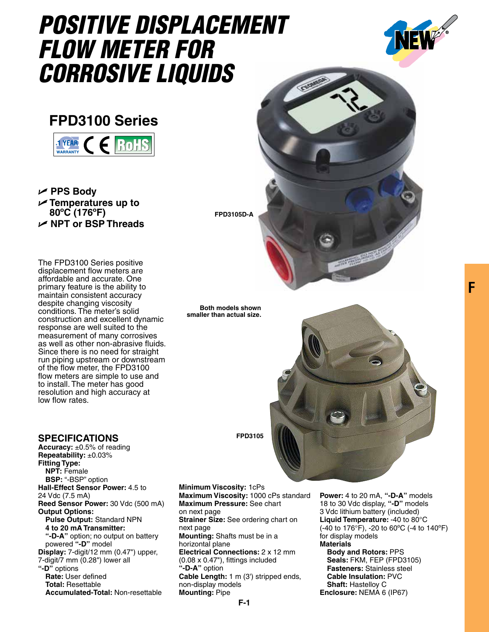## *Positive Displacement Flow Meter for Corrosive Liquids*



## **FPD3100 Series**



U **PPS Body** U **Temperatures up to 80ºC (176ºF)** U **NPT or BSP Threads** 

The FPD3100 Series positive displacement flow meters are affordable and accurate. One primary feature is the ability to maintain consistent accuracy despite changing viscosity conditions. The meter's solid construction and excellent dynamic response are well suited to the measurement of many corrosives as well as other non-abrasive fluids. Since there is no need for straight run piping upstream or downstream of the flow meter, the FPD3100 flow meters are simple to use and to install. The meter has good resolution and high accuracy at low flow rates.

## **Specifications**

**Accuracy:** ±0.5% of reading **Repeatability:** ±0.03% **Fitting Type: NPT:** Female **BSP:** "-BSP" option **Hall-Effect Sensor Power:** 4.5 to 24 Vdc (7.5 mA) **Reed Sensor Power:** 30 Vdc (500 mA) **Output Options: Pulse Output:** Standard NPN **4 to 20 mA Transmitter: "-D-A"** option; no output on battery powered **"-D"** model **Display:** 7-digit/12 mm (0.47") upper, 7-digit/7 mm (0.28") lower all **"-D"** options **Rate:** User defined **Total:** Resettable  **Accumulated-Total:** Non-resettable

**Minimum Viscosity:** 1cPs **Maximum Viscosity:** 1000 cPs standard **Maximum Pressure:** See chart on next page **Strainer Size:** See ordering chart on next page **Mounting:** Shafts must be in a horizontal plane **Electrical Connections:** 2 x 12 mm (0.08 x 0.47"), fittings included **"-D-A"** option **Cable Length:** 1 m (3') stripped ends, non-display models **Mounting:** Pipe

**Power:** 4 to 20 mA, **"-D-A"** models 18 to 30 Vdc display, **"-D"** models 3 Vdc lithium battery (included) **Liquid Temperature:** -40 to 80°C (-40 to 176°F), -20 to 60ºC (-4 to 140ºF) for display models

**Materials Body and Rotors:** PPS **Seals:** FKM, FEP (FPD3105) **Fasteners:** Stainless steel **Cable Insulation:** PVC **Shaft:** Hastelloy C **Enclosure:** NEMA 6 (IP67)

**FPD3105**

**FPD3105D-A**

**Both models shown smaller than actual size.**

**F**